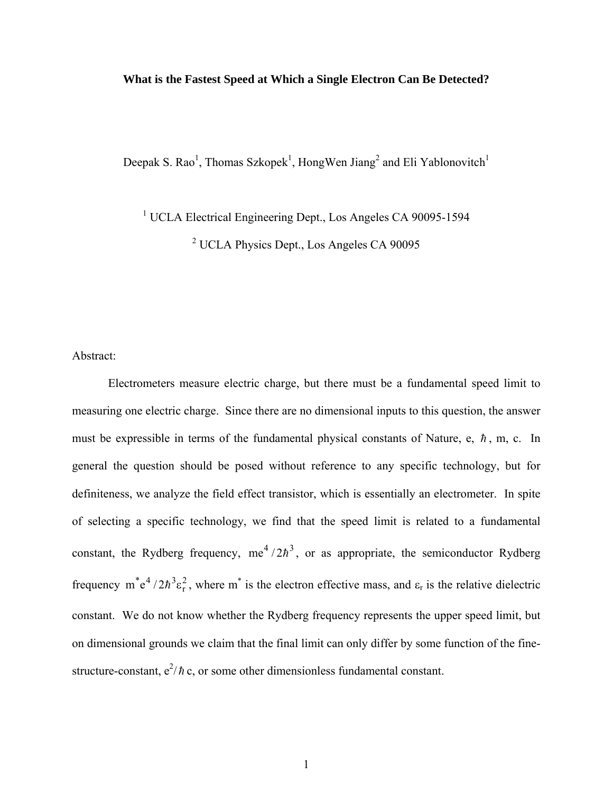## **What is the Fastest Speed at Which a Single Electron Can Be Detected?**

Deepak S. Rao<sup>1</sup>, Thomas Szkopek<sup>1</sup>, HongWen Jiang<sup>2</sup> and Eli Yablonovitch<sup>1</sup>

<sup>1</sup> UCLA Electrical Engineering Dept., Los Angeles CA 90095-1594

<sup>2</sup> UCLA Physics Dept., Los Angeles CA 90095

Abstract:

 Electrometers measure electric charge, but there must be a fundamental speed limit to measuring one electric charge. Since there are no dimensional inputs to this question, the answer must be expressible in terms of the fundamental physical constants of Nature, e,  $\hbar$ , m, c. In general the question should be posed without reference to any specific technology, but for definiteness, we analyze the field effect transistor, which is essentially an electrometer. In spite of selecting a specific technology, we find that the speed limit is related to a fundamental constant, the Rydberg frequency,  $me^4/2\hbar^3$ , or as appropriate, the semiconductor Rydberg frequency  $m^* e^4 / 2h^3 \epsilon_r^2$ , where  $m^*$  is the electron effective mass, and  $\epsilon_r$  is the relative dielectric constant. We do not know whether the Rydberg frequency represents the upper speed limit, but on dimensional grounds we claim that the final limit can only differ by some function of the finestructure-constant,  $e^2/\hbar c$ , or some other dimensionless fundamental constant.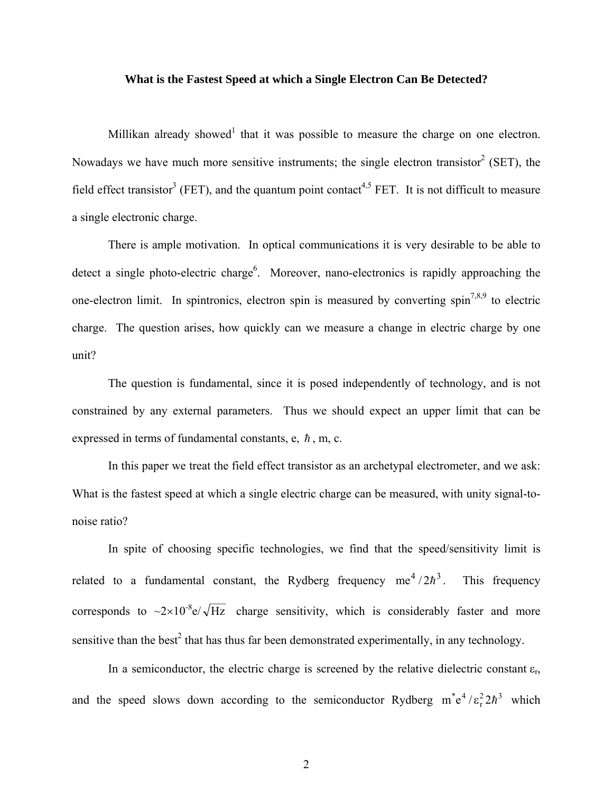## **What is the Fastest Speed at which a Single Electron Can Be Detected?**

Millikan already showed<sup>1</sup> that it was possible to measure the charge on one electron. Nowadays we have much more sensitive instruments; the single electron transistor<sup>2</sup> (SET), the field effect transistor<sup>3</sup> (FET), and the quantum point contact<sup>4,5</sup> FET. It is not difficult to measure a single electronic charge.

 There is ample motivation. In optical communications it is very desirable to be able to detect a single photo-electric charge<sup>6</sup>. Moreover, nano-electronics is rapidly approaching the one-electron limit. In spintronics, electron spin is measured by converting spin<sup>7,8,9</sup> to electric charge. The question arises, how quickly can we measure a change in electric charge by one unit?

 The question is fundamental, since it is posed independently of technology, and is not constrained by any external parameters. Thus we should expect an upper limit that can be expressed in terms of fundamental constants, e,  $\hbar$ , m, c.

 In this paper we treat the field effect transistor as an archetypal electrometer, and we ask: What is the fastest speed at which a single electric charge can be measured, with unity signal-tonoise ratio?

 In spite of choosing specific technologies, we find that the speed/sensitivity limit is related to a fundamental constant, the Rydberg frequency  $me^4/2\hbar^3$ . This frequency corresponds to  $\sim 2 \times 10^{-8}$ e/ $\sqrt{Hz}$  charge sensitivity, which is considerably faster and more sensitive than the best<sup>2</sup> that has thus far been demonstrated experimentally, in any technology.

In a semiconductor, the electric charge is screened by the relative dielectric constant  $\varepsilon_r$ , and the speed slows down according to the semiconductor Rydberg  $m^*e^4/\epsilon_r^2 2\hbar^3$  which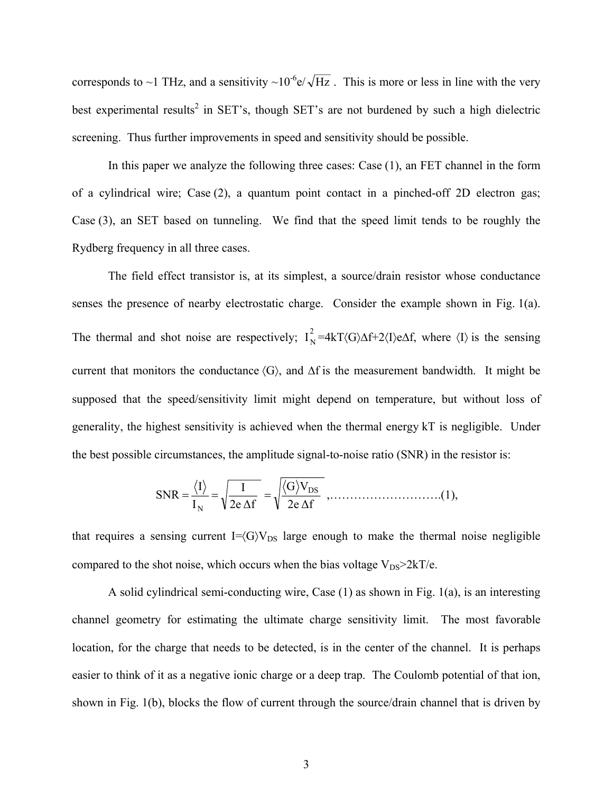corresponds to ~1 THz, and a sensitivity ~10<sup>-6</sup>e/ $\sqrt{Hz}$ . This is more or less in line with the very best experimental results<sup>2</sup> in SET's, though SET's are not burdened by such a high dielectric screening. Thus further improvements in speed and sensitivity should be possible.

 In this paper we analyze the following three cases: Case (1), an FET channel in the form of a cylindrical wire; Case (2), a quantum point contact in a pinched-off 2D electron gas; Case (3), an SET based on tunneling. We find that the speed limit tends to be roughly the Rydberg frequency in all three cases.

 The field effect transistor is, at its simplest, a source/drain resistor whose conductance senses the presence of nearby electrostatic charge. Consider the example shown in Fig. 1(a). The thermal and shot noise are respectively;  $I_N^2 = 4kT\langle G\rangle\Delta f + 2\langle I\rangle e\Delta f$ , where  $\langle I\rangle$  is the sensing current that monitors the conductance  $\langle G \rangle$ , and  $\Delta f$  is the measurement bandwidth. It might be supposed that the speed/sensitivity limit might depend on temperature, but without loss of generality, the highest sensitivity is achieved when the thermal energy kT is negligible. Under the best possible circumstances, the amplitude signal-to-noise ratio (SNR) in the resistor is:

2e ∆f G V 2e ∆f I I I SNR DS N = = = ,……………………….(1),

that requires a sensing current  $I = \langle G \rangle V_{DS}$  large enough to make the thermal noise negligible compared to the shot noise, which occurs when the bias voltage  $V_{DS} > 2kT/e$ .

 A solid cylindrical semi-conducting wire, Case (1) as shown in Fig. 1(a), is an interesting channel geometry for estimating the ultimate charge sensitivity limit. The most favorable location, for the charge that needs to be detected, is in the center of the channel. It is perhaps easier to think of it as a negative ionic charge or a deep trap. The Coulomb potential of that ion, shown in Fig. 1(b), blocks the flow of current through the source/drain channel that is driven by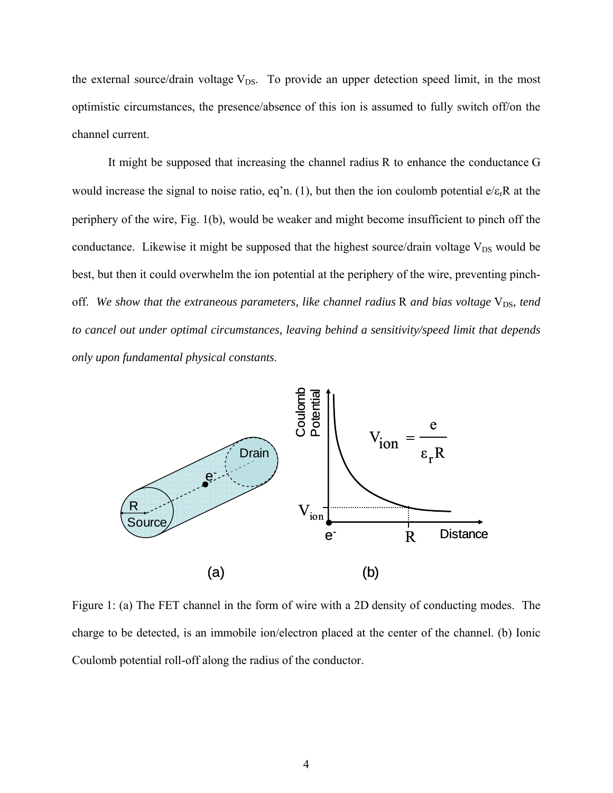the external source/drain voltage  $V_{DS}$ . To provide an upper detection speed limit, in the most optimistic circumstances, the presence/absence of this ion is assumed to fully switch off/on the channel current.

 It might be supposed that increasing the channel radius R to enhance the conductance G would increase the signal to noise ratio, eq'n. (1), but then the ion coulomb potential  $e/\epsilon<sub>r</sub>R$  at the periphery of the wire, Fig. 1(b), would be weaker and might become insufficient to pinch off the conductance. Likewise it might be supposed that the highest source/drain voltage  $V_{DS}$  would be best, but then it could overwhelm the ion potential at the periphery of the wire, preventing pinchoff. We show that the extraneous parameters, like channel radius R and bias voltage V<sub>DS</sub>, tend *to cancel out under optimal circumstances, leaving behind a sensitivity/speed limit that depends only upon fundamental physical constants*.



Figure 1: (a) The FET channel in the form of wire with a 2D density of conducting modes. The charge to be detected, is an immobile ion/electron placed at the center of the channel. (b) Ionic Coulomb potential roll-off along the radius of the conductor.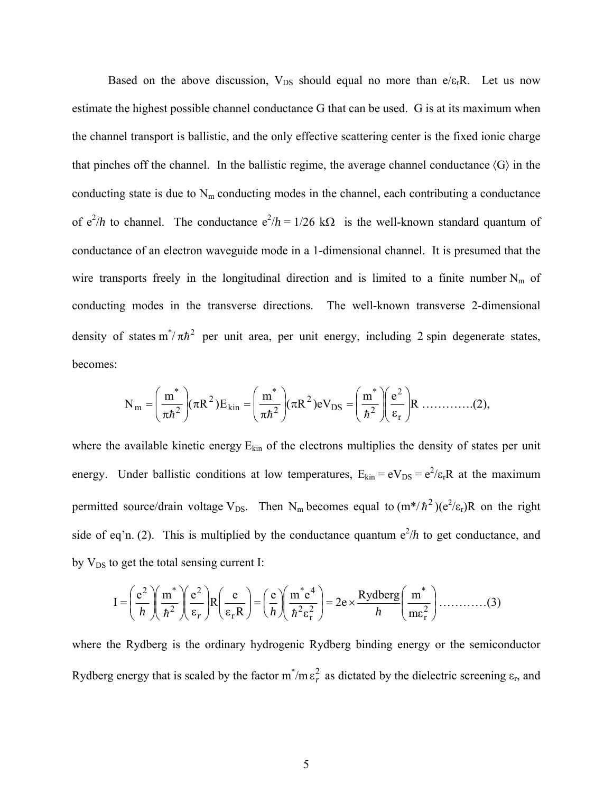Based on the above discussion,  $V_{DS}$  should equal no more than e/ $\varepsilon_rR$ . Let us now estimate the highest possible channel conductance G that can be used. G is at its maximum when the channel transport is ballistic, and the only effective scattering center is the fixed ionic charge that pinches off the channel. In the ballistic regime, the average channel conductance  $\langle G \rangle$  in the conducting state is due to  $N<sub>m</sub>$  conducting modes in the channel, each contributing a conductance of  $e^2/h$  to channel. The conductance  $e^2/h = 1/26$  k $\Omega$  is the well-known standard quantum of conductance of an electron waveguide mode in a 1-dimensional channel. It is presumed that the wire transports freely in the longitudinal direction and is limited to a finite number  $N_m$  of conducting modes in the transverse directions. The well-known transverse 2-dimensional density of states  $m^*/\pi h^2$  per unit area, per unit energy, including 2 spin degenerate states, becomes:

$$
N_{m} = \left(\frac{m^{*}}{\pi \hbar^{2}}\right) (\pi R^{2}) E_{kin} = \left(\frac{m^{*}}{\pi \hbar^{2}}\right) (\pi R^{2}) eV_{DS} = \left(\frac{m^{*}}{\hbar^{2}}\right) \left(\frac{e^{2}}{\varepsilon_{r}}\right) R \dots \dots \dots (2),
$$

where the available kinetic energy  $E_{kin}$  of the electrons multiplies the density of states per unit energy. Under ballistic conditions at low temperatures,  $E_{kin} = eV_{DS} = e^2/\epsilon_r R$  at the maximum permitted source/drain voltage V<sub>DS</sub>. Then N<sub>m</sub> becomes equal to  $(m*/\hbar^2)(e^2/\epsilon_r)R$  on the right side of eq'n. (2). This is multiplied by the conductance quantum  $e^2/h$  to get conductance, and by  $V_{DS}$  to get the total sensing current I:

$$
I = \left(\frac{e^2}{h}\right) \left(\frac{m^*}{h^2}\right) \left(\frac{e^2}{\epsilon_r}\right) R\left(\frac{e}{\epsilon_r R}\right) = \left(\frac{e}{h}\right) \left(\frac{m^* e^4}{h^2 \epsilon_r^2}\right) = 2e \times \frac{Rydberg}{h} \left(\frac{m^*}{m \epsilon_r^2}\right) \dots \dots \dots \dots (3)
$$

where the Rydberg is the ordinary hydrogenic Rydberg binding energy or the semiconductor Rydberg energy that is scaled by the factor  $m^*/m \epsilon_r^2$  as dictated by the dielectric screening  $\epsilon_r$ , and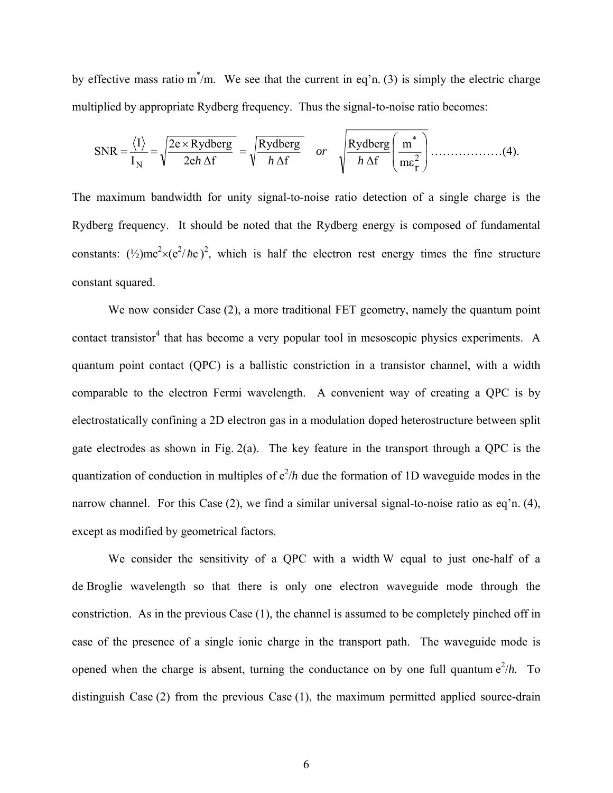by effective mass ratio  $m^*/m$ . We see that the current in eq'n. (3) is simply the electric charge multiplied by appropriate Rydberg frequency. Thus the signal-to-noise ratio becomes:

$$
SNR = \frac{\langle I \rangle}{I_N} = \sqrt{\frac{2e \times \text{Rydberg}}{2eh \Delta f}} = \sqrt{\frac{\text{Rydberg}}{h \Delta f}} \quad or \quad \sqrt{\frac{\text{Rydberg}}{h \Delta f}} \left( \frac{m^*}{m \epsilon_I^2} \right) \dots \dots \dots \dots \dots (4).
$$

The maximum bandwidth for unity signal-to-noise ratio detection of a single charge is the Rydberg frequency. It should be noted that the Rydberg energy is composed of fundamental constants:  $(\frac{1}{2})mc^2 \times (e^2/\hbar c)^2$ , which is half the electron rest energy times the fine structure constant squared.

We now consider Case (2), a more traditional FET geometry, namely the quantum point contact transistor<sup>4</sup> that has become a very popular tool in mesoscopic physics experiments. A quantum point contact (QPC) is a ballistic constriction in a transistor channel, with a width comparable to the electron Fermi wavelength. A convenient way of creating a QPC is by electrostatically confining a 2D electron gas in a modulation doped heterostructure between split gate electrodes as shown in Fig. 2(a). The key feature in the transport through a QPC is the quantization of conduction in multiples of  $e^2/h$  due the formation of 1D waveguide modes in the narrow channel. For this Case (2), we find a similar universal signal-to-noise ratio as eq'n. (4), except as modified by geometrical factors.

 We consider the sensitivity of a QPC with a width W equal to just one-half of a de Broglie wavelength so that there is only one electron waveguide mode through the constriction. As in the previous Case (1), the channel is assumed to be completely pinched off in case of the presence of a single ionic charge in the transport path. The waveguide mode is opened when the charge is absent, turning the conductance on by one full quantum  $e^2/h$ . To distinguish Case (2) from the previous Case (1), the maximum permitted applied source-drain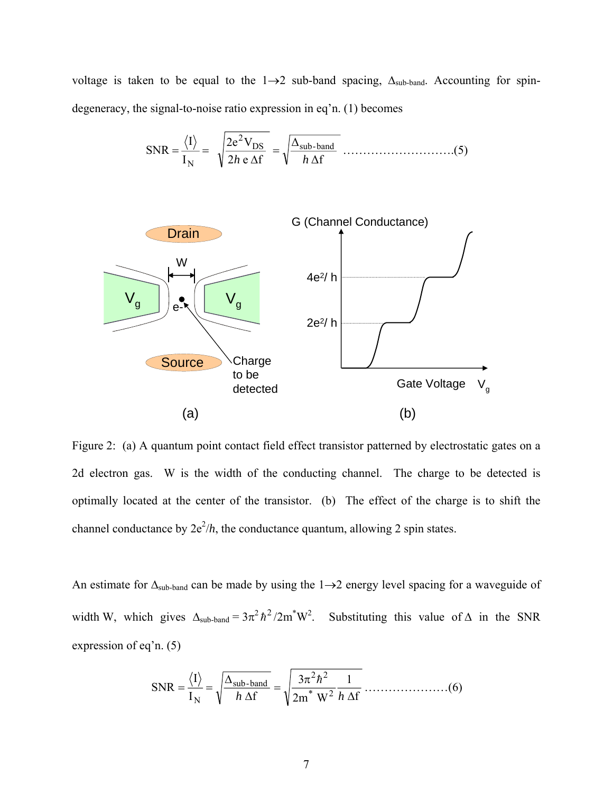voltage is taken to be equal to the  $1\rightarrow 2$  sub-band spacing,  $\Delta_{sub-band}$ . Accounting for spindegeneracy, the signal-to-noise ratio expression in eq'n. (1) becomes

∆f ∆ 2 e f 2e V I I SNR DS sub-band 2 <sup>N</sup> *<sup>h</sup> <sup>h</sup>* <sup>=</sup> <sup>∆</sup> <sup>=</sup> <sup>=</sup> ……………………….(5)



Figure 2: (a) A quantum point contact field effect transistor patterned by electrostatic gates on a 2d electron gas. W is the width of the conducting channel. The charge to be detected is optimally located at the center of the transistor. (b) The effect of the charge is to shift the channel conductance by  $2e^2/h$ , the conductance quantum, allowing 2 spin states.

An estimate for  $\Delta$ <sub>sub-band</sub> can be made by using the 1→2 energy level spacing for a waveguide of width W, which gives  $\Delta_{sub-band} = 3\pi^2 h^2 / 2m^*W^2$ . Substituting this value of  $\Delta$  in the SNR expression of eq'n. (5)

f 1 2m W 3 I f I SNR \* <sup>2</sup> 2 2 sub-band <sup>N</sup> ∆ <sup>π</sup> <sup>=</sup> <sup>∆</sup> <sup>∆</sup> <sup>=</sup> <sup>=</sup> *<sup>h</sup> <sup>h</sup>* <sup>h</sup> …………………(6)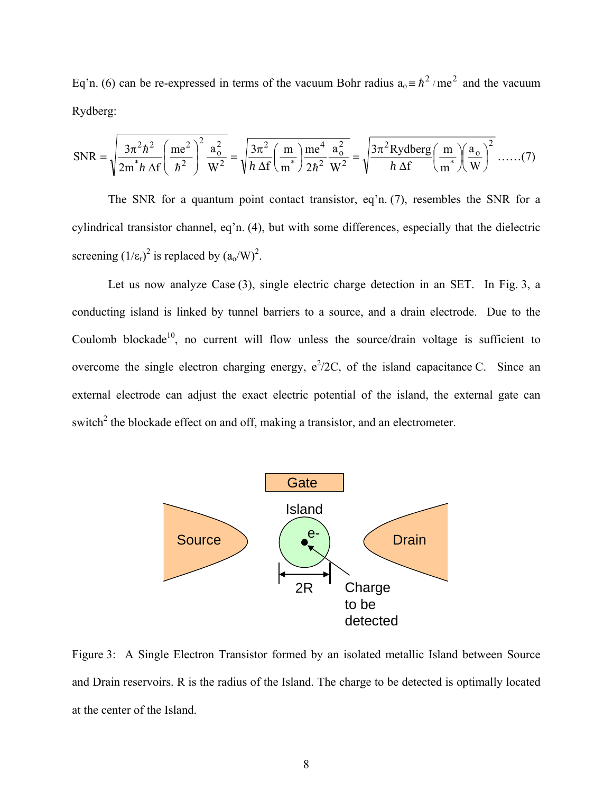Eq'n. (6) can be re-expressed in terms of the vacuum Bohr radius  $a_0 = \hbar^2 / me^2$  and the vacuum Rydberg:

$$
\text{SNR} = \sqrt{\frac{3\pi^2 h^2}{2m^* h \Delta f} \left(\frac{me^2}{h^2}\right)^2 \frac{a_o^2}{W^2}} = \sqrt{\frac{3\pi^2}{h \Delta f} \left(\frac{m}{m^*}\right) \frac{me^4}{2h^2} \frac{a_o^2}{W^2}} = \sqrt{\frac{3\pi^2 \text{Rydberg}}{h \Delta f} \left(\frac{m}{m^*}\right) \left(\frac{a_o}{W}\right)^2} \dots \dots (7)
$$

 The SNR for a quantum point contact transistor, eq'n. (7), resembles the SNR for a cylindrical transistor channel, eq'n. (4), but with some differences, especially that the dielectric screening  $(1/\epsilon_{r})^2$  is replaced by  $(a_0/W)^2$ .

 Let us now analyze Case (3), single electric charge detection in an SET. In Fig. 3, a conducting island is linked by tunnel barriers to a source, and a drain electrode. Due to the Coulomb blockade<sup>10</sup>, no current will flow unless the source/drain voltage is sufficient to overcome the single electron charging energy,  $e^2/2C$ , of the island capacitance C. Since an external electrode can adjust the exact electric potential of the island, the external gate can switch<sup>2</sup> the blockade effect on and off, making a transistor, and an electrometer.



Figure 3: A Single Electron Transistor formed by an isolated metallic Island between Source and Drain reservoirs. R is the radius of the Island. The charge to be detected is optimally located at the center of the Island.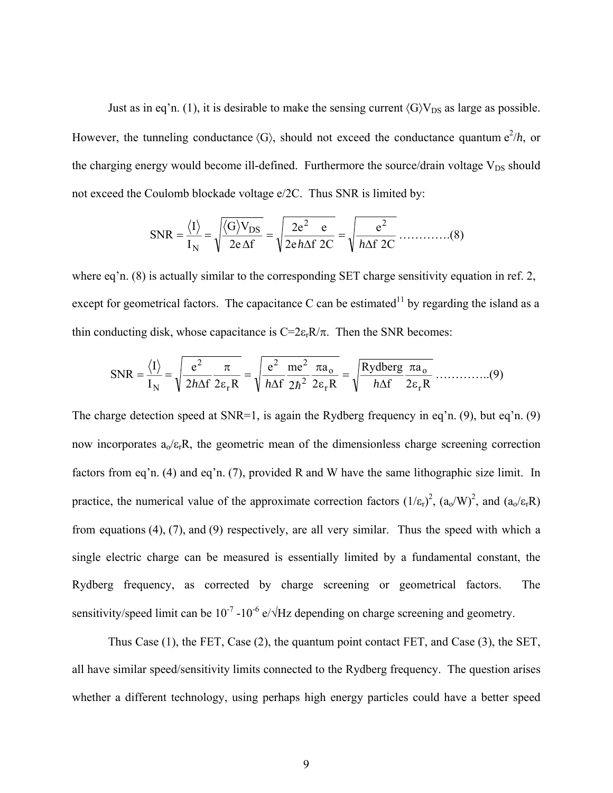Just as in eq'n. (1), it is desirable to make the sensing current  $\langle G \rangle V_{DS}$  as large as possible. However, the tunneling conductance  $\langle G \rangle$ , should not exceed the conductance quantum  $e^{2}/h$ , or the charging energy would become ill-defined. Furthermore the source/drain voltage  $V_{DS}$  should not exceed the Coulomb blockade voltage e/2C. Thus SNR is limited by:

$$
SNR = \frac{\langle I \rangle}{I_N} = \sqrt{\frac{\langle G \rangle V_{DS}}{2e\,\Delta f}} = \sqrt{\frac{2e^2}{2e\,h\Delta f\,2C}} = \sqrt{\frac{e^2}{h\Delta f\,2C}} \dots \dots \dots \dots (8)
$$

where eq'n. (8) is actually similar to the corresponding SET charge sensitivity equation in ref. 2, except for geometrical factors. The capacitance C can be estimated<sup>11</sup> by regarding the island as a thin conducting disk, whose capacitance is  $C=2\varepsilon_rR/\pi$ . Then the SNR becomes:

2 R a f Rydberg 2 R a 2 me f e 2 f 2 R e I I SNR r o r o 2 2 2 r 2 <sup>N</sup> ε π <sup>∆</sup> <sup>=</sup> <sup>ε</sup> π <sup>∆</sup> <sup>=</sup> <sup>ε</sup> π <sup>∆</sup> <sup>=</sup> <sup>=</sup> *<sup>h</sup> <sup>h</sup>* <sup>h</sup> *<sup>h</sup>* …………..(9)

The charge detection speed at SNR=1, is again the Rydberg frequency in eq'n. (9), but eq'n. (9) now incorporates  $a_0/\varepsilon_rR$ , the geometric mean of the dimensionless charge screening correction factors from eq'n. (4) and eq'n. (7), provided R and W have the same lithographic size limit. In practice, the numerical value of the approximate correction factors  $(1/\epsilon_{r})^2$ ,  $(a_0/W)^2$ , and  $(a_0/\epsilon_{r}R)$ from equations (4), (7), and (9) respectively, are all very similar. Thus the speed with which a single electric charge can be measured is essentially limited by a fundamental constant, the Rydberg frequency, as corrected by charge screening or geometrical factors. The sensitivity/speed limit can be  $10^{-7}$  -10<sup>-6</sup> e/ $\sqrt{Hz}$  depending on charge screening and geometry.

 Thus Case (1), the FET, Case (2), the quantum point contact FET, and Case (3), the SET, all have similar speed/sensitivity limits connected to the Rydberg frequency. The question arises whether a different technology, using perhaps high energy particles could have a better speed